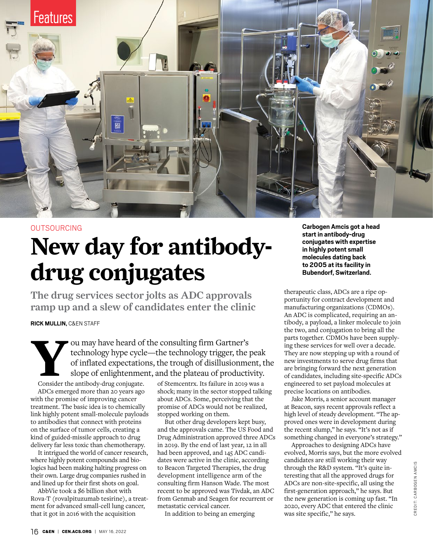

### OUTSOURCING

# **New day for antibodydrug conjugates**

The drug services sector jolts as ADC approvals ramp up and a slew of candidates enter the clinic

**RICK MULLIN,** C&EN STAFF

Fou may have heard of the consulting firm Gartner's<br>technology hype cycle—the technology trigger, the port of inflated expectations, the trough of disillusion<br>slope of enlightenment, and the plateau of productions<br>consider technology hype cycle—the technology trigger, the peak of inflated expectations, the trough of disillusionment, the slope of enlightenment, and the plateau of productivity.

Consider the antibody-drug conjugate. ADCs emerged more than 20 years ago with the promise of improving cancer treatment. [The basic idea](https://cen.acs.org/articles/86/i24/Drug-Conjugates-Advance-Clinical-Trials.html|Drug Conjugates Advance In Clinical Trials) is to chemically link highly potent small-molecule payloads to antibodies that connect with proteins on the surface of tumor cells, creating a kind of guided-missile approach to drug delivery far less toxic than chemotherapy.

It intrigued the world of cancer research, where highly potent compounds and biologics had been making halting progress on their own. Large drug companies rushed in and lined up for their first shots on goal.

AbbVie took a \$6 billion shot with Rova-T (rovalpituzumab tesirine), a treatment for advanced small-cell lung cancer, that it got in 2016 with the [acquisition](https://news.abbvie.com/news/abbvie-to-expand-oncology-presence-through-acquisition-stemcentrx-and-its-novel-late-stage-rova-t-compound-for-small-cell-lung-cancer.htm|AbbVie to Expand Oncology Presence Through Acquisition of Stemcentrx and its Novel, Late-Stage Rova-T Compound for Small Cell Lung Cancer I AbbVie News Center) 

[of Stemcentrx.](https://news.abbvie.com/news/abbvie-to-expand-oncology-presence-through-acquisition-stemcentrx-and-its-novel-late-stage-rova-t-compound-for-small-cell-lung-cancer.htm|AbbVie to Expand Oncology Presence Through Acquisition of Stemcentrx and its Novel, Late-Stage Rova-T Compound for Small Cell Lung Cancer I AbbVie News Center) Its [failure in 2019](https://news.abbvie.com/news/press-releases/abbvie-discontinues-rovalpituzumab-tesirine-rova-t-research-and-development-program.htm|AbbVie Discontinues Rovalpituzumab Tesirine (Rova-T) Research and Development Program) was a shock; many in the sector stopped talking about ADCs. Some, perceiving that the promise of ADCs would not be realized, stopped working on them.

But other drug developers kept busy, and the approvals came. The US Food and Drug Administration approved three ADCs in 2019. By the end of last year, 12 in all had been approved, and 145 ADC candidates were active in the clinic, according to Beacon Targeted Therapies, the drug development intelligence arm of the consulting firm Hanson Wade. The most recent to be approved was Tivdak, an ADC from Genmab and Seagen for recurrent or metastatic cervical cancer.

In addition to being an emerging

**Carbogen Amcis got a head start in antibody-drug conjugates with expertise in highly potent small molecules dating back to 2005 at its facility in Bubendorf, Switzerland.**

therapeutic class, ADCs are a ripe opportunity for contract development and manufacturing organizations (CDMOs). An ADC is complicated, requiring an antibody, a payload, a linker molecule to join the two, and conjugation to bring all the parts together. CDMOs have been supplying these services for well over a decade. They are now stepping up with a round of new investments to serve drug firms that are bringing forward the next generation of candidates, including [site-specific ADCs](https://cen.acs.org/articles/92/i3/SITE-SPECIFIC.html|Site Specific: Developers Aim To Create Well-Defined Drug Conjugates) engineered to set payload molecules at precise locations on antibodies.

Jake Morris, a senior account manager at Beacon, says recent approvals reflect a high level of steady development. "The approved ones were in development during the recent slump," he says. "It's not as if something changed in everyone's strategy."

Approaches to designing ADCs have evolved, Morris says, but the more evolved candidates are still working their way through the R&D system. "It's quite interesting that all the approved drugs for ADCs are non-site-specific, all using the first-generation approach," he says. But the new generation is coming up fast. "In 2020, every ADC that entered the clinic was site specific," he says.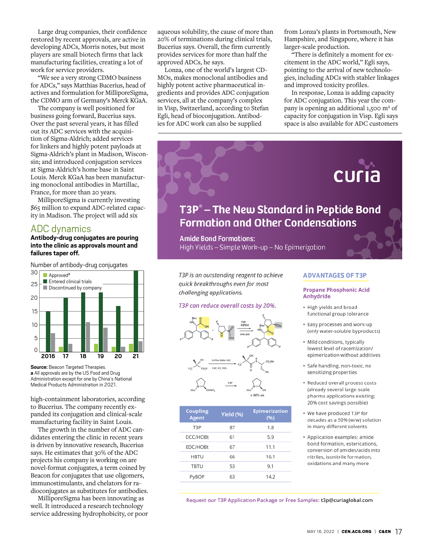Large drug companies, their confidence restored by recent approvals, are active in developing ADCs, Morris notes, but most players are small biotech firms that lack manufacturing facilities, creating a lot of work for service providers.

"We see a very strong CDMO business for ADCs," says Matthias Bucerius, head of actives and formulation for MilliporeSigma, the CDMO arm of Germany's Merck KGaA.

The company is well positioned for business going forward, Bucerius says. Over the past several years, it has filled out its ADC services with the [acquisi](https://cen.acs.org/articles/93/web/2015/11/merck-kgaa-completes-sigma-aldrich-acquisition.html|The Making Of MilliporeSigma)[tion of Sigma-Aldrich;](https://cen.acs.org/articles/93/web/2015/11/merck-kgaa-completes-sigma-aldrich-acquisition.html|The Making Of MilliporeSigma) added services for linkers and highly potent payloads at Sigma-Aldrich's plant in Madison, Wisconsin; and introduced conjugation services at Sigma-Aldrich's home base in Saint Louis. Merck KGaA has been manufacturing monoclonal antibodies in Martillac, France, for more than 20 years.

MilliporeSigma is currently investing \$65 million to [expand ADC-related capac](https://cen.acs.org/pharmaceuticals/oncology/Merck-KGaA-invests-antibody-drug/98/i35|Merck KGaA invests in antibody-drug conjugates)[ity in Madison](https://cen.acs.org/pharmaceuticals/oncology/Merck-KGaA-invests-antibody-drug/98/i35|Merck KGaA invests in antibody-drug conjugates). The project will add six

### ADC dynamics

**Antibody-drug conjugates are pouring into the clinic as approvals mount and failures taper off.**

Number of antibody-drug conjugates



**Source: Beacon Targeted Therapies. a** All approvals are by the US Food and Drug Administration except for one by China's National Medical Products Administration in 2021.

high-containment laboratories, according to Bucerius. The company recently expanded its conjugation and clinical-scale manufacturing facility in Saint Louis.

The growth in the number of ADC candidates entering the clinic in recent years is driven by innovative research, Bucerius says. He estimates that 30% of the ADC projects his company is working on are novel-format conjugates, a term coined by Beacon for conjugates that use oligomers, immunostimulants, and chelators for radioconjugates as substitutes for antibodies.

MilliporeSigma has been innovating as well. It introduced a research technology service addressing hydrophobicity, or poor aqueous solubility, the cause of more than 20% of terminations during clinical trials, Bucerius says. Overall, the firm currently provides services for more than half the approved ADCs, he says.

Lonza, one of the world's largest CD-MOs, makes monoclonal antibodies and highly potent active pharmaceutical ingredients and provides ADC conjugation services, all at the company's complex in Visp, Switzerland, according to Stefan Egli, head of bioconjugation. Antibodies for ADC work can also be supplied

from Lonza's plants in Portsmouth, New Hampshire, and Singapore, where it has larger-scale production.

"There is definitely a moment for excitement in the ADC world," Egli says, pointing to the arrival of new technologies, including ADCs with stabler linkages and improved toxicity profiles.

In response, Lonza is adding capacity for ADC conjugation. This year the company is opening an additional 1,500 m<sup>2</sup> of capacity for conjugation in Visp. Egli says space is also available for ADC customers



| <b>Coupling</b><br><b>Agent</b> | Yield (%) | <b>Epimerization</b><br>(%) |
|---------------------------------|-----------|-----------------------------|
| T3P                             | 87        | 1.8                         |
| DCC/HOBt                        | 61        | 5.9                         |
| EDC/HOBt                        | 67        | 11.1                        |
| <b>HBTU</b>                     | 66        | 16.1                        |
| <b>TBTU</b>                     | 53        | 9.1                         |
| ЭP                              | 63        | 14.2                        |

- pharma applications existing; 20% cost savings possible)
- We have produced T3P for decades as a 50% (w/w) solution in many different solvents
- Application examples: amide bond formation, esterications. conversion of amides/acids into nitriles, isonitrile formation, oxidations and many more

Request our T3P Application Package or Free Samples: t3p@curiaglobal.com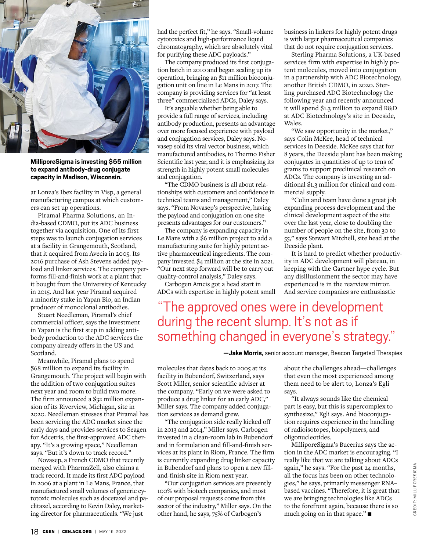

**MilliporeSigma is investing \$65 million to expand antibody-drug conjugate capacity in Madison, Wisconsin.**

at Lonza's Ibex facility in Visp, a general manufacturing campus at which customers can set up operations.

Piramal Pharma Solutions, an India-based CDMO, put its ADC business together via acquisition. One of its first steps was to launch conjugation services at a facility in Grangemouth, Scotland, that it acquired from Avecia in 2005. Its 2016 purchase of Ash Stevens added payload and linker services. The company performs fill-and-finish work at a plant that it bought from the University of Kentucky in 2015. And last year Piramal acquired a minority stake in Yapan Bio, an Indian producer of monoclonal antibodies.

Stuart Needleman, Piramal's chief commercial officer, says the investment in Yapan is the first step in adding antibody production to the ADC services the company already offers in the US and Scotland.

Meanwhile, Piramal plans to spend \$68 million to expand its facility in Grangemouth. The project will begin with the addition of two conjugation suites next year and room to build two more. The firm announced a \$32 million expansion of its Riverview, Michigan, site in 2020. Needleman stresses that Piramal has been servicing the ADC market since the early days and provides services to Seagen for Adcetris, the first-approved ADC therapy. "It's a growing space," Needleman says. "But it's down to track record."

Novasep, a French CDMO that recently merged with PharmaZell, also claims a track record. It made its first ADC payload in 2006 at a plant in Le Mans, France, that manufactured small volumes of generic cytotoxic molecules such as docetaxel and paclitaxel, according to Kevin Daley, marketing director for pharmaceuticals. "We just

had the perfect fit," he says. "Small-volume cytotoxics and high-performance liquid chromatography, which are absolutely vital for purifying these ADC payloads."

The company produced its first conjugation batch in 2010 and began scaling up its operation, bringing an \$11 million bioconjugation unit on line in Le Mans in 2017. The company is providing services for "at least three" commercialized ADCs, Daley says.

It's arguable whether being able to provide a full range of services, including antibody production, presents an advantage over more focused experience with payload and conjugation services, Daley says. Novasep sold its viral vector business, which manufactured antibodies, to Thermo Fisher Scientific last year, and it is emphasizing its strength in highly potent small molecules and conjugation.

"The CDMO business is all about relationships with customers and confidence in technical teams and management," Daley says. "From Novasep's perspective, having the payload and conjugation on one site presents advantages for our customers."

The company is expanding capacity in Le Mans with a \$6 million project to add a manufacturing suite for highly potent active pharmaceutical ingredients. The company invested \$4 million at the site in 2021. "Our next step forward will be to carry out quality-control analysis," Daley says.

Carbogen Amcis got a head start in ADCs with expertise in highly potent small business in linkers for highly potent drugs is with larger pharmaceutical companies that do not require conjugation services.

Sterling Pharma Solutions, a UK-based services firm with expertise in highly potent molecules, moved into conjugation in a partnership with ADC Biotechnology, another British CDMO, in 2020. Sterling purchased ADC Biotechnology the following year and recently announced it will spend \$1.3 million to expand R&D at ADC Biotechnology's site in Deeside, Wales.

"We saw opportunity in the market," says Colin McKee, head of technical services in Deeside. McKee says that for 8 years, the Deeside plant has been making conjugates in quantities of up to tens of grams to support preclinical research on ADCs. The company is investing an additional \$1.3 million for clinical and commercial supply.

"Colin and team have done a great job expanding process development and the clinical development aspect of the site over the last year, close to doubling the number of people on the site, from 30 to 55," says Stewart Mitchell, site head at the Deeside plant.

It is hard to predict whether productivity in ADC development will plateau, in keeping with the Gartner hype cycle. But any disillusionment the sector may have experienced is in the rearview mirror. And service companies are enthusiastic

"The approved ones were in development during the recent slump. It's not as if something changed in everyone's strategy."

**—Jake Morris,** senior account manager, Beacon Targeted Therapies

molecules that dates back to 2005 at its facility in Bubendorf, Switzerland, says Scott Miller, senior scientific adviser at the company. "Early on we were asked to produce a drug linker for an early ADC," Miller says. The company added conjugation services as demand grew.

"The conjugation side really kicked off in 2013 and 2014," Miller says. Carbogen invested in a clean-room lab in Bubendorf and in formulation and fill-and-finish services at its plant in Riom, France. The firm is currently expanding drug linker capacity in Bubendorf and plans to open a new filland-finish site in Riom next year.

"Our conjugation services are presently 100% with biotech companies, and most of our proposal requests come from this sector of the industry," Miller says. On the other hand, he says, 75% of Carbogen's

about the challenges ahead—challenges that even the most experienced among them need to be alert to, Lonza's Egli says.

"It always sounds like the chemical part is easy, but this is supercomplex to synthesize," Egli says. And bioconjugation requires experience in the handling of radioisotopes, biopolymers, and oligonucleotides.

MilliporeSigma's Bucerius says the action in the ADC market is encouraging. "I really like that we are talking about ADCs again," he says. "For the past 24 months, all the focus has been on other technologies," he says, primarily messenger RNA– based vaccines. "Therefore, it is great that we are bringing technologies like ADCs to the forefront again, because there is so much going on in that space." $\blacksquare$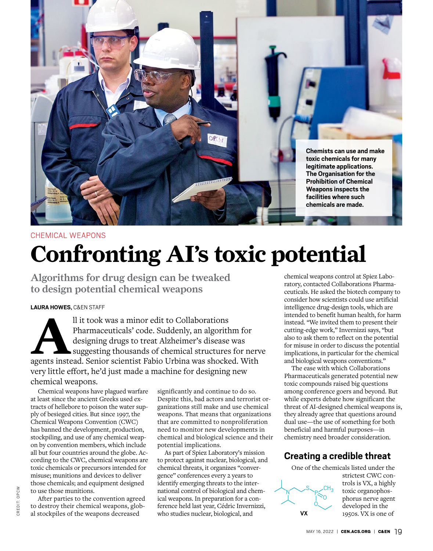

# CHEMICAL WEAPONS **Confronting AI's toxic potential**

Algorithms for drug design can be tweaked to design potential chemical weapons

#### **LAURA HOWES,** C&EN STAFF

Il it took was a minor edit to Collaborations<br>
Pharmaceuticals' code. Suddenly, an algorithm for<br>
designing drugs to treat Alzheimer's disease was<br>
suggesting thousands of chemical structures for nerv<br>
agents instead. Seni [Pharmaceuticals'](https://www.collaborationspharma.com/| Collaborations Pharma         ) code. Suddenly, an algorithm for designing drugs to treat Alzheimer's disease was suggesting thousands of chemical structures for nerve very little effort, he'd just made a machine for designing new chemical weapons.

[Chemical weapons](http://chemicalweapons.cenmag.org|100 years of Chemical Weapons by C&EN) have plagued warfare at least since the ancient Greeks used extracts of hellebore to poison the water supply of besieged cities. But since 1997, the [Chemical Weapons Convention](https://www.opcw.org/chemical-weapons-convention|Chemical Weapons Convention) (CWC) has banned the development, production, stockpiling, and use of any chemical weapon by convention members, which include all but four countries around the globe. According to the CWC, [chemical weapons are](https://www.opcw.org/chemical-weapons-convention/articles/article-ii-definitions-and-criteria|       Article II      Definitions and Criteria   ) toxic chemicals or precursors intended for misuse; munitions and devices to deliver those chemicals; and equipment designed to use those munitions.

After parties to the convention agreed to destroy their chemical weapons, global stockpiles of the weapons decreased

significantly and continue to do so. Despite this, bad actors and terrorist organizations still make and use chemical weapons. That means that organizations that are committed to nonproliferation need to monitor new developments in chemical and biological science and their potential implications.

As part of Spiez Laboratory's mission to protect against nuclear, biological, and chemical threats, it organizes "[conver](https://css.ethz.ch/en/think-tank/events/Spiez%20Convergence.html|Spiez Convergence)[gence" conferences](https://css.ethz.ch/en/think-tank/events/Spiez%20Convergence.html|Spiez Convergence) every 2 years to identify emerging threats to the international control of biological and chemical weapons. In preparation for a conference held last year, Cédric Invernizzi, who studies nuclear, biological, and

chemical weapons control at Spiez Laboratory, contacted Collaborations Pharmaceuticals. He asked the biotech company to consider how scientists could use artificial intelligence drug-design tools, which are intended to benefit human health, for harm instead. "We invited them to present their cutting-edge work," Invernizzi says, "but also to ask them to reflect on the potential for misuse in order to discuss the potential implications, in particular for the chemical and biological weapons conventions."

The ease with which Collaborations Pharmaceuticals generated potential new toxic compounds raised big questions among conference goers and beyond. But while experts debate how significant the threat of AI-designed chemical weapons is, they already agree that questions around dual use—the use of something for both beneficial and harmful purposes—in chemistry need broader consideration.

# **Creating a credible threat**

One of the chemicals listed under the

**VX** P  $N \sim$ s  $CH<sub>3</sub>$  strictest CWC controls is VX, a highly toxic organophosphorus nerve agent developed in the 1950s. VX is one of

CREDIT: OPCW

CREDIT: OPCW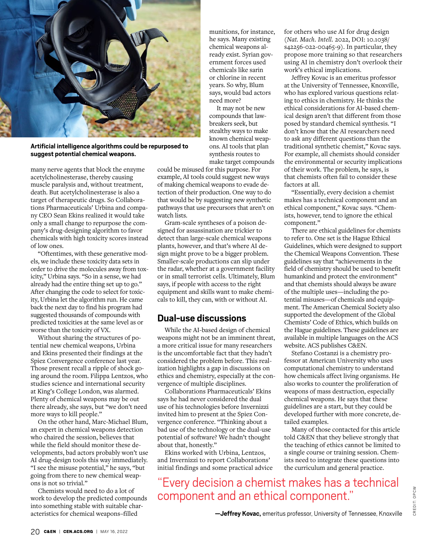

**Artificial intelligence algorithms could be repurposed to suggest potential chemical weapons.**

many nerve agents that block the enzyme acetylcholinesterase, thereby causing muscle paralysis and, without treatment, death. But acetylcholinesterase is also a target of therapeutic drugs. So Collaborations Pharmaceuticals' Urbina and company CEO Sean Ekins realized it would take only a small change to repurpose the company's drug-designing algorithm to favor chemicals with high toxicity scores instead of low ones.

"Oftentimes, with these generative models, we include these toxicity data sets in order to drive the molecules away from toxicity," Urbina says. "So in a sense, we had already had the entire thing set up to go." After changing the code to select for toxicity, Urbina let the algorithm run. He came back the next day to find his program had suggested thousands of compounds with predicted toxicities at the same level as or worse than the toxicity of VX.

Without sharing the structures of potential new chemical weapons, Urbina and Ekins presented their findings at the Spiez Convergence conference last year. Those present recall a ripple of shock going around the room. Filippa Lentzos, who studies science and international security at King's College London, was alarmed. Plenty of chemical weapons may be out there already, she says, but "we don't need more ways to kill people."

On the other hand, Marc-Michael Blum, an expert in chemical weapons detection who chaired the session, believes that while the field should monitor these developments, bad actors probably won't use AI drug-design tools this way immediately. "I see the misuse potential," he says, "but going from there to new chemical weapons is not so trivial."

Chemists would need to do a lot of work to develop the predicted compounds into something stable with suitable characteristics for chemical weapons–filled

munitions, for instance, he says. Many existing chemical weapons already exist. [Syrian gov](|Syria is responsible for three chemical weapons attacks in 2017, investigation says|https://cen.acs.org/policy/chemical-weapons/Syria-responsible-three-chemical-weapons/98/web/2020/04||~)[ernment forces used](|Syria is responsible for three chemical weapons attacks in 2017, investigation says|https://cen.acs.org/policy/chemical-weapons/Syria-responsible-three-chemical-weapons/98/web/2020/04||~)  [chemicals like sarin](|Syria is responsible for three chemical weapons attacks in 2017, investigation says|https://cen.acs.org/policy/chemical-weapons/Syria-responsible-three-chemical-weapons/98/web/2020/04||~)  [or chlorine](|Syria is responsible for three chemical weapons attacks in 2017, investigation says|https://cen.acs.org/policy/chemical-weapons/Syria-responsible-three-chemical-weapons/98/web/2020/04||~) in recent years. So why, Blum says, would bad actors need more?

It may not be new compounds that lawbreakers seek, but stealthy ways to make known chemical weapons. AI tools that plan synthesis routes to make target compounds

could be misused for this purpose. For example, AI tools could suggest new ways of making chemical weapons to evade detection of their production. One way to do that would be by suggesting new synthetic pathways that use precursors that aren't on watch lists.

Gram-scale syntheses of a poison designed for assassination are trickier to detect than large-scale chemical weapons plants, however, and that's where AI design might prove to be a bigger problem. Smaller-scale productions can slip under the radar, whether at a government facility or in small terrorist cells. Ultimately, Blum says, if people with access to the right equipment and skills want to make chemicals to kill, they can, with or without AI.

# **Dual-use discussions**

While the AI-based design of chemical weapons might not be an imminent threat, a more critical issue for many researchers is the uncomfortable fact that they hadn't considered the problem before. This realization highlights a gap in discussions on ethics and chemistry, especially at the convergence of multiple disciplines.

Collaborations Pharmaceuticals' Ekins says he had never considered the dual use of his technologies before Invernizzi invited him to present at the Spiez Convergence conference. "Thinking about a bad use of the technology or the dual-use potential of software? We hadn't thought about that, honestly."

Ekins worked with Urbina, Lentzos, and Invernizzi to report Collaborations' initial findings and some practical advice for others who use AI for drug design (*Nat. Mach. Intell.* 2022, DOI: [10.1038/](http://dx.doi.org/10.1038/s42256-022-00465-9|Read the article here: DOI: 10.1038/s42256-022-00465-9) [s42256-022-00465-9](http://dx.doi.org/10.1038/s42256-022-00465-9|Read the article here: DOI: 10.1038/s42256-022-00465-9)). In particular, they propose more training so that researchers using AI in chemistry don't overlook their work's ethical implications.

Jeffrey Kovac is an emeritus professor at the University of Tennessee, Knoxville, who has explored various questions relating to ethics in chemistry. He thinks the ethical considerations for AI-based chemical design aren't that different from those posed by standard chemical synthesis. "I don't know that the AI researchers need to ask any different questions than the traditional synthetic chemist," Kovac says. For example, all chemists should consider the environmental or security implications of their work. The problem, he says, is that chemists often fail to consider these factors at all.

"Essentially, every decision a chemist makes has a technical component and an ethical component," Kovac says. "Chemists, however, tend to ignore the ethical component."

There are ethical guidelines for chemists to refer to. One set is the [Hague Ethical](|   The Hague Ethical Guidelines |https://www.opcw.org/hague-ethical-guidelines||~)  [Guidelines,](|   The Hague Ethical Guidelines |https://www.opcw.org/hague-ethical-guidelines||~) which were designed to support the Chemical Weapons Convention. These guidelines say that "achievements in the field of chemistry should be used to benefit humankind and protect the environment" and that chemists should always be aware of the multiple uses—including the potential misuses—of chemicals and equipment. The American Chemical Society also supported the development of the [Global](https://www.acs.org/content/acs/en/global/international/regional/eventsglobal/global-chemists-code-of-ethics.html|The Global Chemists’ Code of Ethics)  [Chemists' Code of Ethics](https://www.acs.org/content/acs/en/global/international/regional/eventsglobal/global-chemists-code-of-ethics.html|The Global Chemists’ Code of Ethics), which builds on the Hague guidelines. These guidelines are available in multiple languages on the ACS website. [ACS publishes C&EN](https://cen.acs.org/static/about/standards-practices.html#editorial-independence|C&EN’s Standards and Practices      ).

Stefano Costanzi is a chemistry professor at American University who uses computational chemistry to understand how chemicals affect living organisms. He also works to counter the proliferation of weapons of mass destruction, especially chemical weapons. He says that these guidelines are a start, but they could be developed further with more concrete, detailed examples.

Many of those contacted for this article told C&EN that they believe strongly that the teaching of ethics cannot be limited to a single course or training session. Chemists need to integrate these questions into the curriculum and general practice.

"Every decision a chemist makes has a technical component and an ethical component."

**—Jeffrey Kovac,** emeritus professor, University of Tennessee, Knoxville